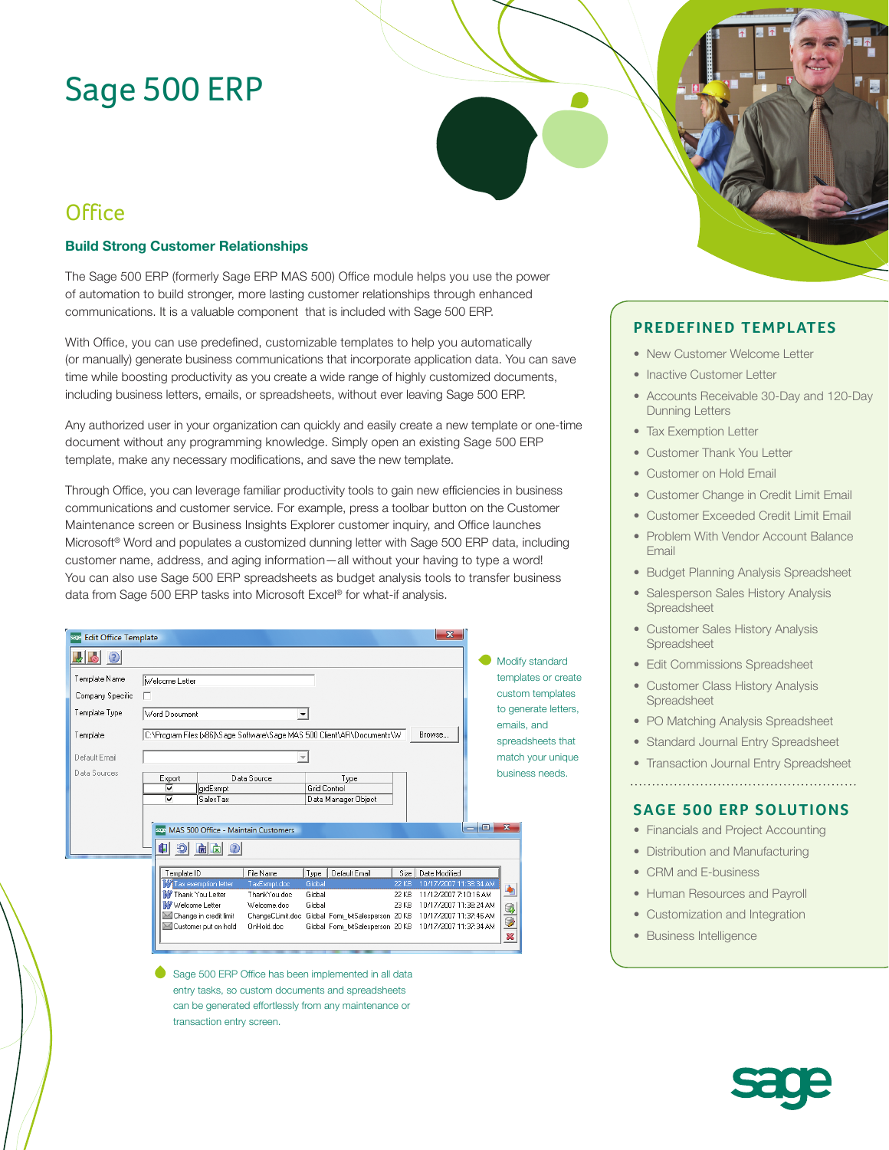# Sage 500 ERP

## **Office**

#### **Build Strong Customer Relationships**

The Sage 500 ERP (formerly Sage ERP MAS 500) Office module helps you use the power of automation to build stronger, more lasting customer relationships through enhanced communications. It is a valuable component that is included with Sage 500 ERP.

With Office, you can use predefined, customizable templates to help you automatically (or manually) generate business communications that incorporate application data. You can save time while boosting productivity as you create a wide range of highly customized documents, including business letters, emails, or spreadsheets, without ever leaving Sage 500 ERP.

Any authorized user in your organization can quickly and easily create a new template or one-time document without any programming knowledge. Simply open an existing Sage 500 ERP template, make any necessary modifications, and save the new template.

Through Office, you can leverage familiar productivity tools to gain new efficiencies in business communications and customer service. For example, press a toolbar button on the Customer Maintenance screen or Business Insights Explorer customer inquiry, and Office launches Microsoft® Word and populates a customized dunning letter with Sage 500 ERP data, including customer name, address, and aging information—all without your having to type a word! You can also use Sage 500 ERP spreadsheets as budget analysis tools to transfer business data from Sage 500 ERP tasks into Microsoft Excel® for what-if analysis.

| <b>Edit Office Template</b>       | $\mathbf{x}$                                                                                                                                                                                                                                                                                                                                                                    |                                                       |                                          |
|-----------------------------------|---------------------------------------------------------------------------------------------------------------------------------------------------------------------------------------------------------------------------------------------------------------------------------------------------------------------------------------------------------------------------------|-------------------------------------------------------|------------------------------------------|
| $\bullet$<br>◉                    |                                                                                                                                                                                                                                                                                                                                                                                 |                                                       | Modify standard                          |
| Template Name                     | Welcome Letter                                                                                                                                                                                                                                                                                                                                                                  |                                                       | templates or create                      |
| Company Specific<br>Template Type | п<br>Word Document<br>▼                                                                                                                                                                                                                                                                                                                                                         |                                                       | custom templates<br>to generate letters, |
| Template                          | C:\Program Files (x86)\Sage Software\Sage MAS 500 Client\AR\Documents\W<br>Browse                                                                                                                                                                                                                                                                                               | emails, and<br>spreadsheets that<br>match your unique |                                          |
| Default Email                     |                                                                                                                                                                                                                                                                                                                                                                                 |                                                       |                                          |
| Data Sources                      | Data Source<br>Type<br>Export<br><b>Grid Control</b><br>⊽<br>grdExmpt<br>⊽<br>SalesTax<br>Data Manager Object                                                                                                                                                                                                                                                                   |                                                       | business needs.                          |
|                                   | $\overline{\phantom{a}}$<br>MAS 500 Office - Maintain Customers<br>Œ۱<br>வ<br>刷肉                                                                                                                                                                                                                                                                                                | æ.<br>$\overline{\mathbf{x}}$                         |                                          |
|                                   | File Name<br>Template ID<br>Type<br>Default Email<br>Size<br>Date Modified<br>Tax exemption letter<br>Global<br>10/17/2007 11:38:34 AM<br>TaxExmpt.doc<br><b>22 KB</b>                                                                                                                                                                                                          |                                                       |                                          |
|                                   | W Thank You Letter<br>ThankYou.doc<br>Global<br>11/12/2007 7:10:16 AM<br>22 KB<br><b>M</b> Welcome Letter<br>Global<br>10/17/2007 11:38:24 AM<br>Welcome.doc<br>23 KB<br>Change in credit limit<br>10/17/2007 11:37:46 AM<br>ChangeCLimit.doc Global Form txtSalesperson 20 KB<br>Customer put on hold<br>Global Form_txtSalesperson 20 KB 10/17/2007 11:37:34 AM<br>OnHold.doc | 9<br>9<br>$\boldsymbol{\mathbb{X}}$                   |                                          |
|                                   |                                                                                                                                                                                                                                                                                                                                                                                 |                                                       |                                          |

Sage 500 ERP Office has been implemented in all data entry tasks, so custom documents and spreadsheets can be generated effortlessly from any maintenance or transaction entry screen.

### **PREDEFINED TEMPLATES**

- New Customer Welcome Letter
- Inactive Customer Letter
- Accounts Receivable 30-Day and 120-Day Dunning Letters
- Tax Exemption Letter
- Customer Thank You Letter
- Customer on Hold Email
- Customer Change in Credit Limit Email
- Customer Exceeded Credit Limit Email
- Problem With Vendor Account Balance Email
- Budget Planning Analysis Spreadsheet
- Salesperson Sales History Analysis Spreadsheet
- Customer Sales History Analysis Spreadsheet
- Edit Commissions Spreadsheet
- Customer Class History Analysis Spreadsheet
- PO Matching Analysis Spreadsheet
- Standard Journal Entry Spreadsheet
- Transaction Journal Entry Spreadsheet
- 

#### **SAGE 500 ERP SOLUTIONS**

- Financials and Project Accounting
- Distribution and Manufacturing
- CRM and E-business
- Human Resources and Payroll
- Customization and Integration
- Business Intelligence